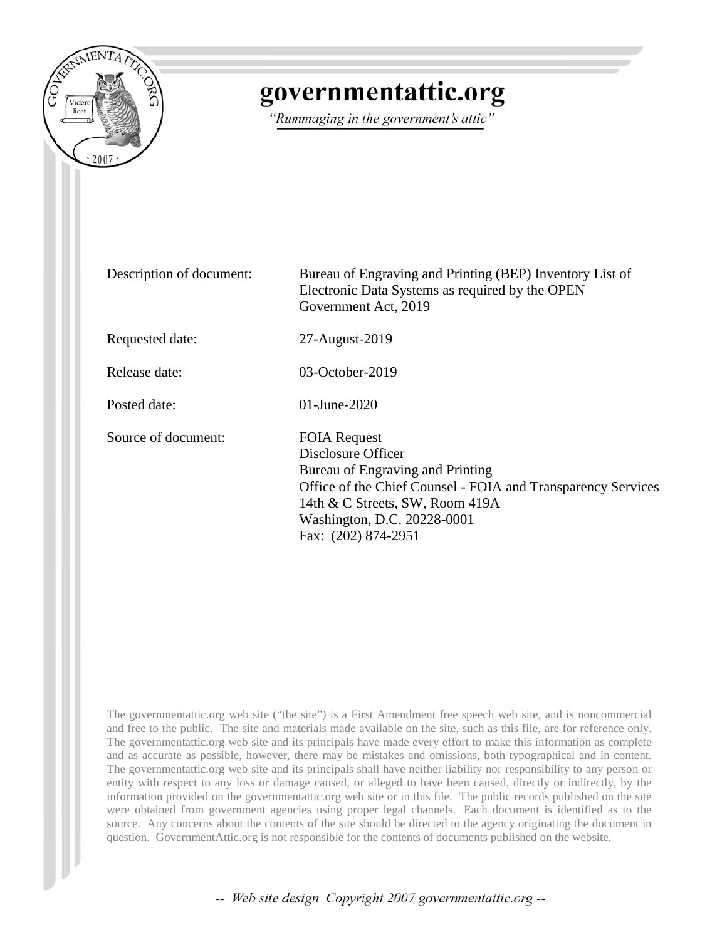

# governmentattic.org

"Rummaging in the government's attic"

Description of document: Bureau of Engraving and Printing (BEP) Inventory List of Electronic Data Systems as required by the OPEN Government Act, 2019 Requested date: 27-August-2019 Release date: 03-October-2019 Posted date: 01-June-2020 Source of document: FOIA Request Disclosure Officer Bureau of Engraving and Printing Office of the Chief Counsel - FOIA and Transparency Services 14th & C Streets, SW, Room 419A Washington, D.C. 20228-0001 Fax: (202) 874-2951

The governmentattic.org web site ("the site") is a First Amendment free speech web site, and is noncommercial and free to the public. The site and materials made available on the site, such as this file, are for reference only. The governmentattic.org web site and its principals have made every effort to make this information as complete and as accurate as possible, however, there may be mistakes and omissions, both typographical and in content. The governmentattic.org web site and its principals shall have neither liability nor responsibility to any person or entity with respect to any loss or damage caused, or alleged to have been caused, directly or indirectly, by the information provided on the governmentattic.org web site or in this file. The public records published on the site were obtained from government agencies using proper legal channels. Each document is identified as to the source. Any concerns about the contents of the site should be directed to the agency originating the document in question. GovernmentAttic.org is not responsible for the contents of documents published on the website.

-- Web site design Copyright 2007 governmentattic.org --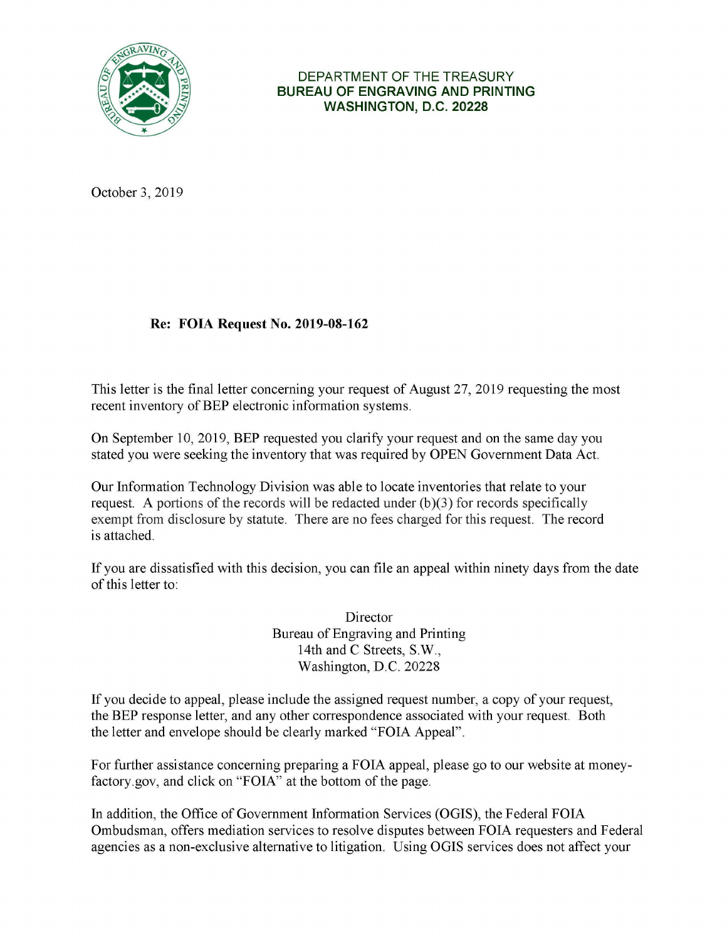

## DEPARTMENT OF THE TREASURY **BUREAU OF ENGRAVING AND PRINTING WASHINGTON, D.C. 20228**

October 3, 2019

# **Re: FOIA Request No. 2019-08-162**

This letter is the final letter concerning your request of August 27, 2019 requesting the most recent inventory of BEP electronic information systems.

On September 10, 2019, BEP requested you clarify your request and on the same day you stated you were seeking the inventory that was required by OPEN Government Data Act.

Our Information Technology Division was able to locate inventories that relate to your request. A portions of the records will be redacted under (b)(3) for records specifically exempt from disclosure by statute. There are no fees charged for this request. The record is attached.

If you are dissatisfied with this decision, you can file an appeal within ninety days from the date of this letter to:

> Director Bureau of Engraving and Printing 14th and C Streets, **S.W.,**  Washington, **D.C.** 20228

If you decide to appeal, please include the assigned request number, a copy of your request, the BEP response letter, and any other correspondence associated with your request. Both the letter and envelope should be clearly marked "FOIA Appeal".

For further assistance concerning preparing a FOIA appeal, please go to our website at moneyfactory.gov, and click on "FOIA" at the bottom of the page.

In addition, the Office of Government Information Services (OGIS), the Federal FOIA Ombudsman, offers mediation services to resolve disputes between FOIA requesters and Federal agencies as a non-exclusive alternative to litigation. Using OGIS services does not affect your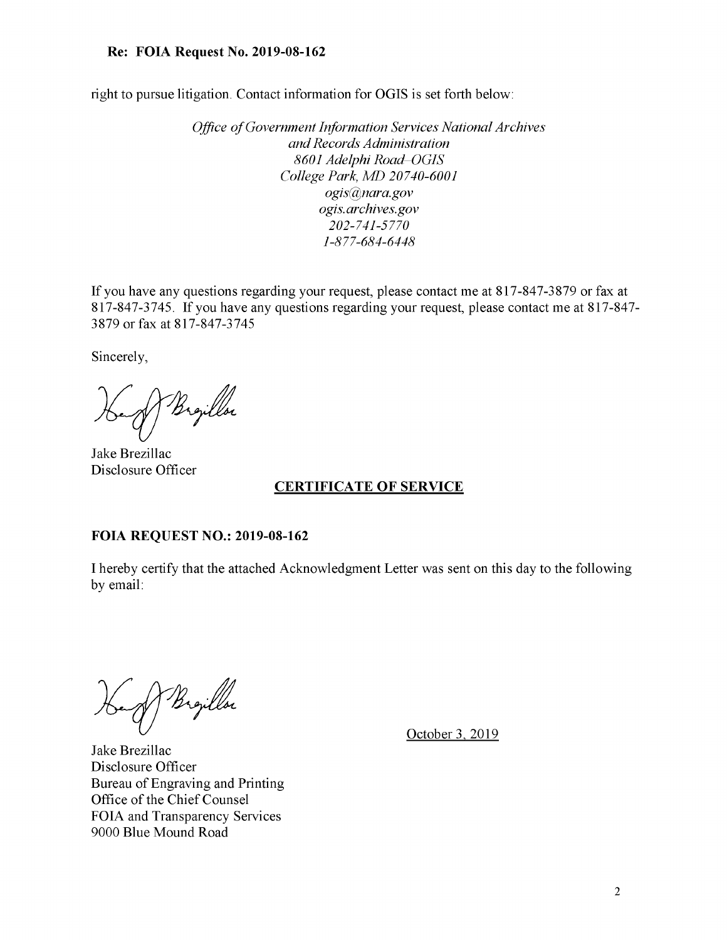#### **Re: FOIA Request No. 2019-08-162**

right to pursue litigation. Contact information for **OGIS** is set forth below:

*Office of Government Information Services National Archives and Records Administration 8601 Adelphi Road-OGIS College Park, MD 20740-6001 ogis@nara.gov ogis. archives.gov 202-741-5770 1-877-684-6448* 

If you have any questions regarding your request, please contact me at 817-847-3879 or fax at 817-847-3745. If you have any questions regarding your request, please contact me at 817-847-3879 or fax at 817-847-3745

Sincerely,

Brejllor

Jake Brezillac Disclosure Officer

## **CERTIFICATE OF SERVICE**

#### **FOIA REQUEST NO.: 2019-08-162**

I hereby certify that the attached Acknowledgment Letter was sent on this day to the following by email:

Bigillor

October 3, 2019

Jake Brezillac Disclosure Officer Bureau of Engraving and Printing Office of the Chief Counsel FOIA and Transparency Services 9000 Blue Mound Road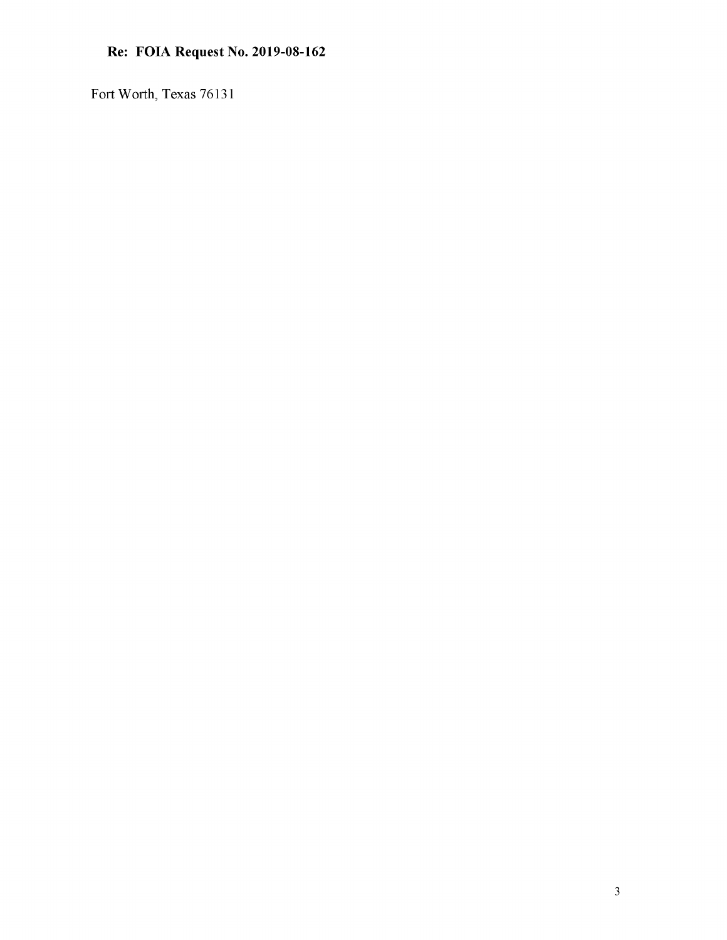# **Re: FOIA Request No. 2019-08-162**

Fort Worth, Texas 76131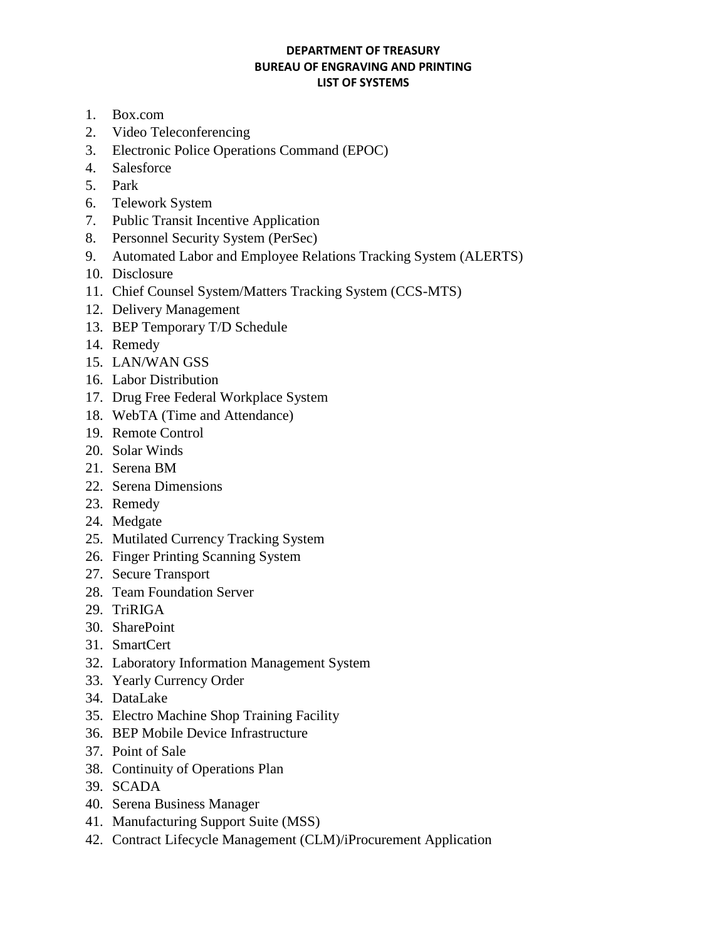#### **DEPARTMENT OF TREASURY BUREAU OF ENGRAVING AND PRINTING LIST OF SYSTEMS**

- 1. Box.com
- 2. Video Teleconferencing
- 3. Electronic Police Operations Command (EPOC)
- 4. Salesforce
- 5. Park
- 6. Telework System
- 7. Public Transit Incentive Application
- 8. Personnel Security System (PerSec)
- 9. Automated Labor and Employee Relations Tracking System (ALERTS)
- 10. Disclosure
- 11. Chief Counsel System/Matters Tracking System (CCS-MTS)
- 12. Delivery Management
- 13. BEP Temporary T/D Schedule
- 14. Remedy
- 15. LAN/WAN GSS
- 16. Labor Distribution
- 17. Drug Free Federal Workplace System
- 18. WebTA (Time and Attendance)
- 19. Remote Control
- 20. Solar Winds
- 21. Serena BM
- 22. Serena Dimensions
- 23. Remedy
- 24. Medgate
- 25. Mutilated Currency Tracking System
- 26. Finger Printing Scanning System
- 27. Secure Transport
- 28. Team Foundation Server
- 29. TriRIGA
- 30. SharePoint
- 31. SmartCert
- 32. Laboratory Information Management System
- 33. Yearly Currency Order
- 34. DataLake
- 35. Electro Machine Shop Training Facility
- 36. BEP Mobile Device Infrastructure
- 37. Point of Sale
- 38. Continuity of Operations Plan
- 39. SCADA
- 40. Serena Business Manager
- 41. Manufacturing Support Suite (MSS)
- 42. Contract Lifecycle Management (CLM)/iProcurement Application